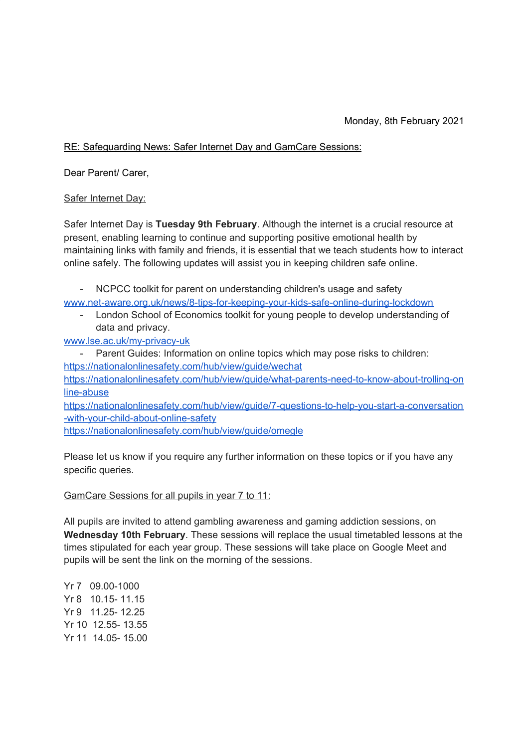## Monday, 8th February 2021

## RE: Safeguarding News: Safer Internet Day and GamCare Sessions:

Dear Parent/ Carer,

## Safer Internet Day:

Safer Internet Day is **Tuesday 9th February**. Although the internet is a crucial resource at present, enabling learning to continue and supporting positive emotional health by maintaining links with family and friends, it is essential that we teach students how to interact online safely. The following updates will assist you in keeping children safe online.

- NCPCC toolkit for parent on understanding children's usage and safety

[www.net-aware.org.uk/news/8-tips-for-keeping-your-kids-safe-online-during-lockdown](http://www.net-aware.org.uk/news/8-tips-for-keeping-your-kids-safe-online-during-lockdown)

- London School of Economics toolkit for young people to develop understanding of data and privacy.
- [www.lse.ac.uk/my-privacy-uk](http://www.lse.ac.uk/my-privacy-uk)
- Parent Guides: Information on online topics which may pose risks to children: <https://nationalonlinesafety.com/hub/view/guide/wechat> [https://nationalonlinesafety.com/hub/view/guide/what-parents-need-to-know-about-trolling-on](https://nationalonlinesafety.com/hub/view/guide/what-parents-need-to-know-about-trolling-online-abuse) [line-abuse](https://nationalonlinesafety.com/hub/view/guide/what-parents-need-to-know-about-trolling-online-abuse)

[https://nationalonlinesafety.com/hub/view/guide/7-questions-to-help-you-start-a-conversation](https://nationalonlinesafety.com/hub/view/guide/7-questions-to-help-you-start-a-conversation-with-your-child-about-online-safety) [-with-your-child-about-online-safety](https://nationalonlinesafety.com/hub/view/guide/7-questions-to-help-you-start-a-conversation-with-your-child-about-online-safety)

<https://nationalonlinesafety.com/hub/view/guide/omegle>

Please let us know if you require any further information on these topics or if you have any specific queries.

## GamCare Sessions for all pupils in year 7 to 11:

All pupils are invited to attend gambling awareness and gaming addiction sessions, on **Wednesday 10th February**. These sessions will replace the usual timetabled lessons at the times stipulated for each year group. These sessions will take place on Google Meet and pupils will be sent the link on the morning of the sessions.

Yr 7 09.00-1000 Yr 8 10.15- 11.15 Yr 9 11.25- 12.25 Yr 10 12.55- 13.55 Yr 11 14.05- 15.00